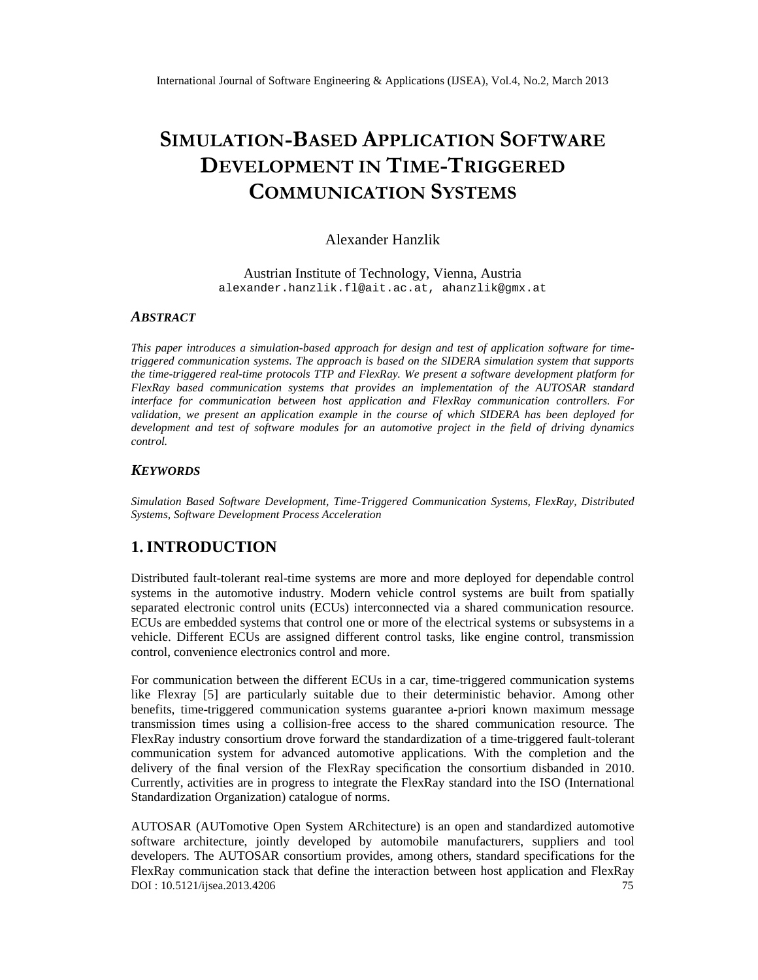# SMULATION AS EXPPLICATION FTWARE DEVELOPMENT IN THETRIGGERED COMMUNICATI**S**YNSTEMS

# Alexander Hanzlik

Austrian Institute of Technology, Vienna, Austria alexander.hanzlik.fl@ai [t.ac.a](mailto:fl@ait.ac)t, aha[nzlik@gmx.at](mailto:ahanzlik@gmx.at)

## ABSTRACT

This paper introduces a simulationased approach for design and test of application software for time triggered communication systems. The approach is based on the SIDERA simulation system that supports the timetriggered realtime protocols TTP and FlexRay. We present a software development platform for FlexRay based communication systems that provides an implementation of the AUTOSAR standard interface for communicationbetween host application andlexRay communicatin controllers. For validation, we present an application example in the course of which SIDERA has been deployed for development and test of software modules for an automotive project in the field of driving dynamics control.

## **KEYWORDS**

Simulation Base Software Development, Time iggered Communication System SexRay, Distributed SystemsSoftwareDevelopment Process Acceleration

# 1. INTRODUCTION

Distributed faulttolerant realtime systems are more and more deployed for dependable control systems inthe automotive industry. Modern vehicle control systems are built from spatially separated electronic control units (ECUs) interconnected via a shared communication resource. ECUs are embedded systems that control one or more of the electrical systems yetems in a vehicle. Different ECUs are assigned different control tasks, like engine control, transmission control, convenience electronics control and more .

For communication between the different ECUs in a car,-ting gered communication systems like Flexray [5] are particularly suitable due to their deterministic behavior. Among other benefits, timetriggered communication systems guater a-priori known maximum message transmission time using a collisionfree access to the shared communicaties purce. The FlexRay industry consortium aive forward the standardizion of a time triggered faulttolerant communication system for advanced automotive applications the completion and the delivery of the€nal version of the FlexRay speci€catible consortium disbanded in 200 Currently, activities are in progress to integrate the FlexRay standard into thente Oational Standardization Organizationatalogue of norms.

DOI : 10.5121/ijsea.2013.4206 75 AUTOSAR (AUTomotive Open System ARchitecturis) anopen and standardid automotive software architecture, jointly developed by automobilentanufacturers, suppliers and tool developers. The AUTOSARconsortium provides, among others, standard specification the FlexRay communication stack that defithe interaction betweehost application and FlexRay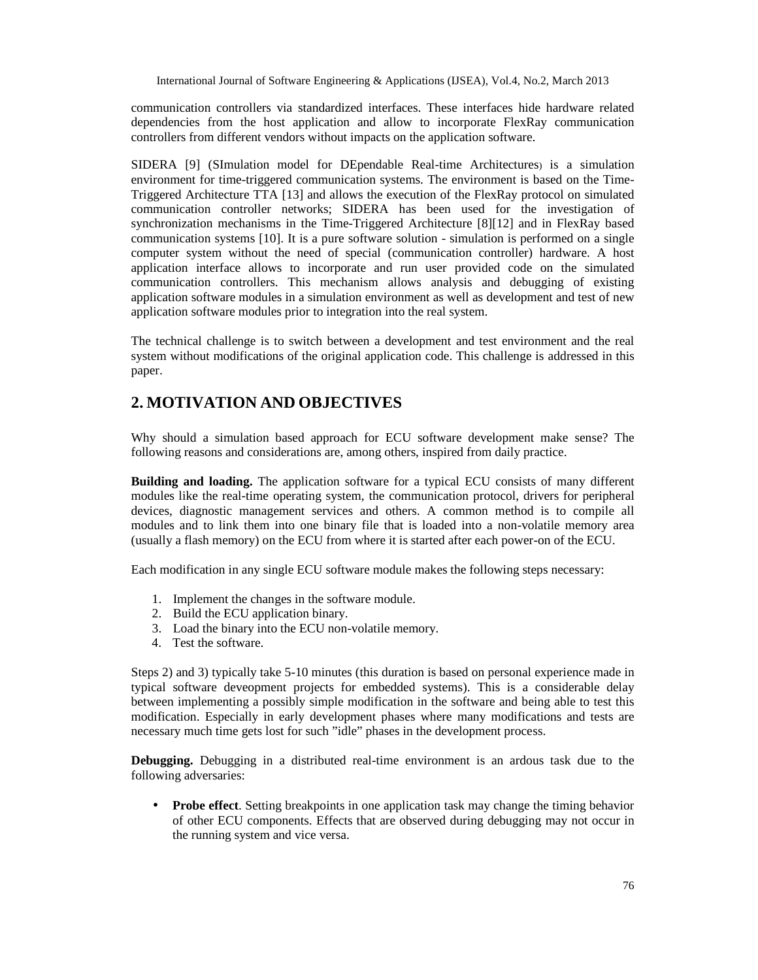communication controllers via standardized interfaces. These interfaces hide hardware related dependencies from the host application and allow to incorporate FlexRay communication controllers from different vendors without impacts on the application software.

SIDERA [9] (SImulation model for DEpendable Real-time Architectures) is a simulation environment for time-triggered communication systems. The environment is based on the Time-Triggered Architecture TTA [13] and allows the execution of the FlexRay protocol on simulated communication controller networks; SIDERA has been used for the investigation of synchronization mechanisms in the Time-Triggered Architecture [8][12] and in FlexRay based communication systems [10]. It is a pure software solution - simulation is performed on a single computer system without the need of special (communication controller) hardware. A host application interface allows to incorporate and run user provided code on the simulated communication controllers. This mechanism allows analysis and debugging of existing application software modules in a simulation environment as well as development and test of new application software modules prior to integration into the real system.

The technical challenge is to switch between a development and test environment and the real system without modifications of the original application code. This challenge is addressed in this paper.

# **2. MOTIVATION AND OBJECTIVES**

Why should a simulation based approach for ECU software development make sense? The following reasons and considerations are, among others, inspired from daily practice.

**Building and loading.** The application software for a typical ECU consists of many different modules like the real-time operating system, the communication protocol, drivers for peripheral devices, diagnostic management services and others. A common method is to compile all modules and to link them into one binary file that is loaded into a non-volatile memory area (usually a flash memory) on the ECU from where it is started after each power-on of the ECU.

Each modification in any single ECU software module makes the following steps necessary:

- 1. Implement the changes in the software module.
- 2. Build the ECU application binary.
- 3. Load the binary into the ECU non-volatile memory.
- 4. Test the software.

Steps 2) and 3) typically take 5-10 minutes (this duration is based on personal experience made in typical software deveopment projects for embedded systems). This is a considerable delay between implementing a possibly simple modification in the software and being able to test this modification. Especially in early development phases where many modifications and tests are necessary much time gets lost for such "idle" phases in the development process.

**Debugging.** Debugging in a distributed real-time environment is an ardous task due to the following adversaries:

• **Probe effect**. Setting breakpoints in one application task may change the timing behavior of other ECU components. Effects that are observed during debugging may not occur in the running system and vice versa.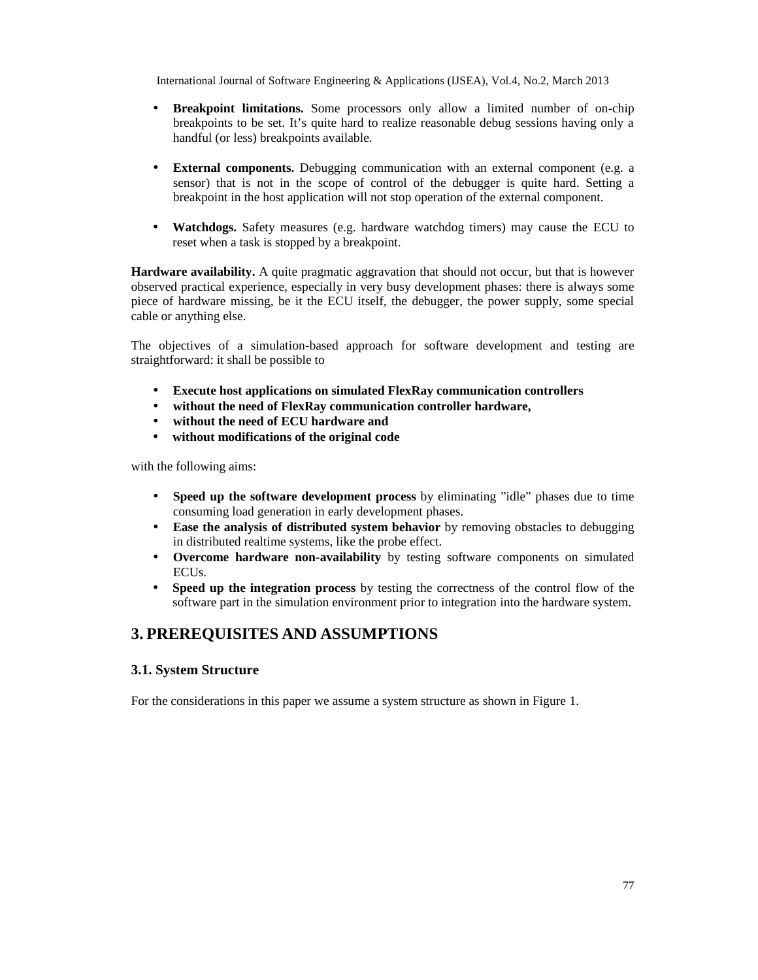- **Breakpoint limitations.** Some processors only allow a limited number of on-chip breakpoints to be set. It's quite hard to realize reasonable debug sessions having only a handful (or less) breakpoints available.
- **External components.** Debugging communication with an external component (e.g. a sensor) that is not in the scope of control of the debugger is quite hard. Setting a breakpoint in the host application will not stop operation of the external component.
- **Watchdogs.** Safety measures (e.g. hardware watchdog timers) may cause the ECU to reset when a task is stopped by a breakpoint.

**Hardware availability.** A quite pragmatic aggravation that should not occur, but that is however observed practical experience, especially in very busy development phases: there is always some piece of hardware missing, be it the ECU itself, the debugger, the power supply, some special cable or anything else.

The objectives of a simulation-based approach for software development and testing are straightforward: it shall be possible to

- **Execute host applications on simulated FlexRay communication controllers**
- **without the need of FlexRay communication controller hardware,**
- **without the need of ECU hardware and**
- **without modifications of the original code**

with the following aims:

- **Speed up the software development process** by eliminating "idle" phases due to time consuming load generation in early development phases.
- **Ease the analysis of distributed system behavior** by removing obstacles to debugging in distributed realtime systems, like the probe effect.
- **Overcome hardware non-availability** by testing software components on simulated ECUs.
- **Speed up the integration process** by testing the correctness of the control flow of the software part in the simulation environment prior to integration into the hardware system.

# **3. PREREQUISITES AND ASSUMPTIONS**

## **3.1. System Structure**

For the considerations in this paper we assume a system structure as shown in Figure 1.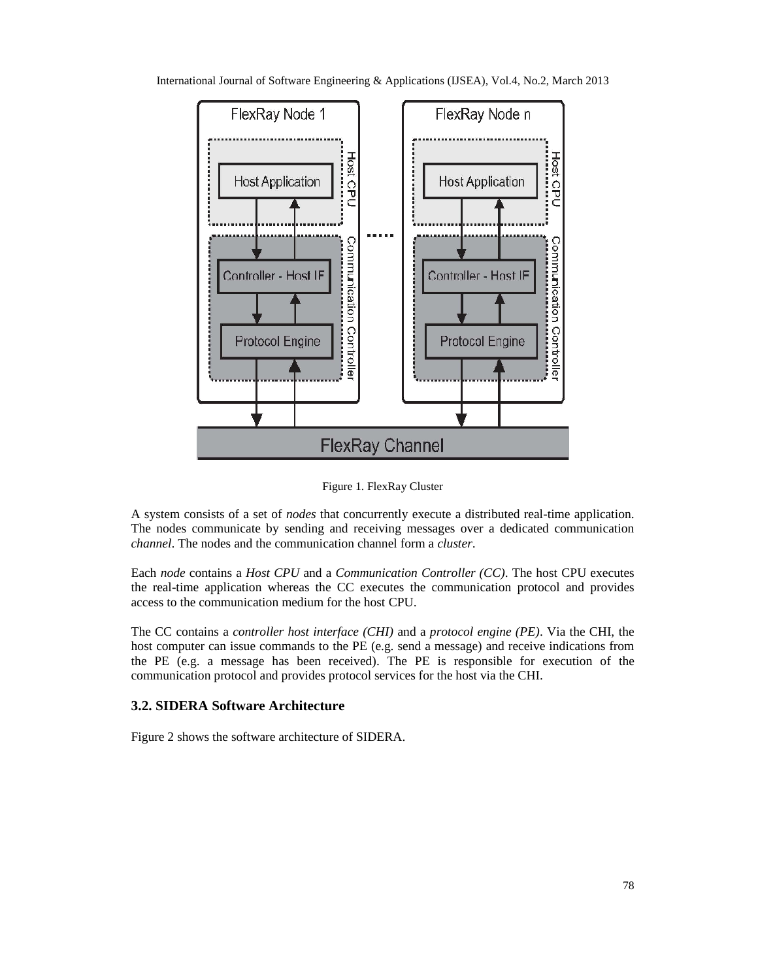

International Journal of Software Engineering & Applications (IJSEA), Vol.4, No.2, March 2013

Figure 1. FlexRay Cluster

A system consists of a set of *nodes* that concurrently execute a distributed real-time application. The nodes communicate by sending and receiving messages over a dedicated communication *channel*. The nodes and the communication channel form a *cluster*.

Each *node* contains a *Host CPU* and a *Communication Controller (CC)*. The host CPU executes the real-time application whereas the CC executes the communication protocol and provides access to the communication medium for the host CPU.

The CC contains a *controller host interface (CHI)* and a *protocol engine (PE)*. Via the CHI, the host computer can issue commands to the PE (e.g. send a message) and receive indications from the PE (e.g. a message has been received). The PE is responsible for execution of the communication protocol and provides protocol services for the host via the CHI.

#### **3.2. SIDERA Software Architecture**

Figure 2 shows the software architecture of SIDERA.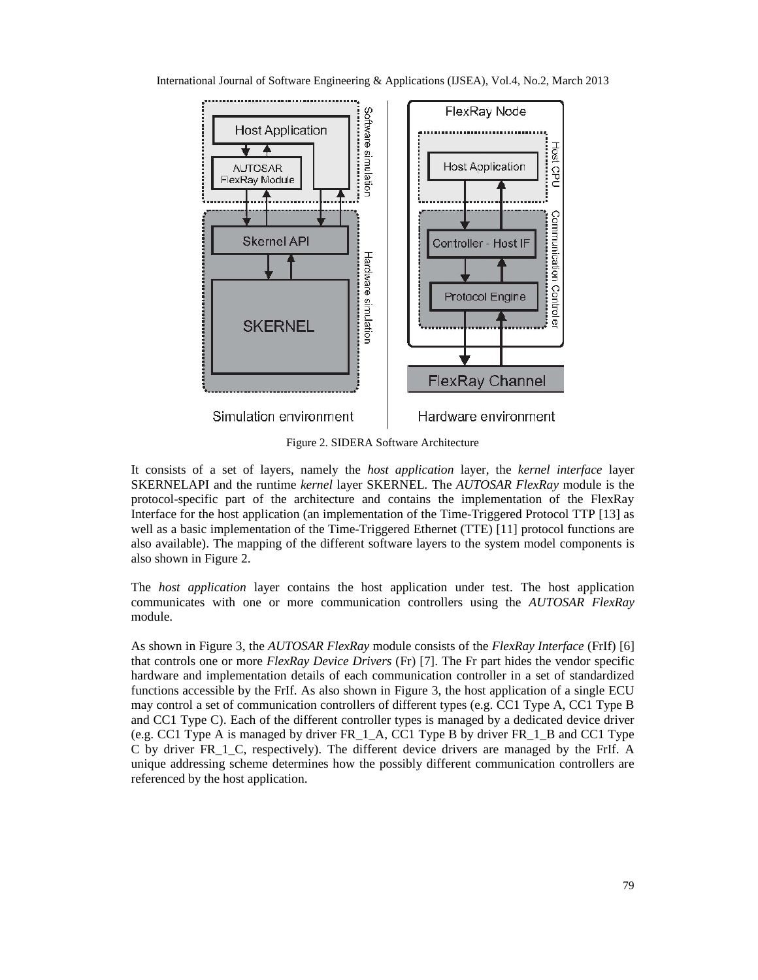

International Journal of Software Engineering & Applications (IJSEA), Vol.4, No.2, March 2013

Figure 2. SIDERA Software Architecture

It consists of a set of layers, namely the *host application* layer, the *kernel interface* layer SKERNELAPI and the runtime *kernel* layer SKERNEL. The *AUTOSAR FlexRay* module is the protocol-specific part of the architecture and contains the implementation of the FlexRay Interface for the host application (an implementation of the Time-Triggered Protocol TTP [13] as well as a basic implementation of the Time-Triggered Ethernet (TTE) [11] protocol functions are also available). The mapping of the different software layers to the system model components is also shown in Figure 2.

The *host application* layer contains the host application under test. The host application communicates with one or more communication controllers using the *AUTOSAR FlexRay* module.

As shown in Figure 3, the *AUTOSAR FlexRay* module consists of the *FlexRay Interface* (FrIf) [6] that controls one or more *FlexRay Device Drivers* (Fr) [7]. The Fr part hides the vendor specific hardware and implementation details of each communication controller in a set of standardized functions accessible by the FrIf. As also shown in Figure 3, the host application of a single ECU may control a set of communication controllers of different types (e.g. CC1 Type A, CC1 Type B and CC1 Type C). Each of the different controller types is managed by a dedicated device driver (e.g. CC1 Type A is managed by driver FR\_1\_A, CC1 Type B by driver FR\_1\_B and CC1 Type C by driver FR\_1\_C, respectively). The different device drivers are managed by the FrIf. A unique addressing scheme determines how the possibly different communication controllers are referenced by the host application.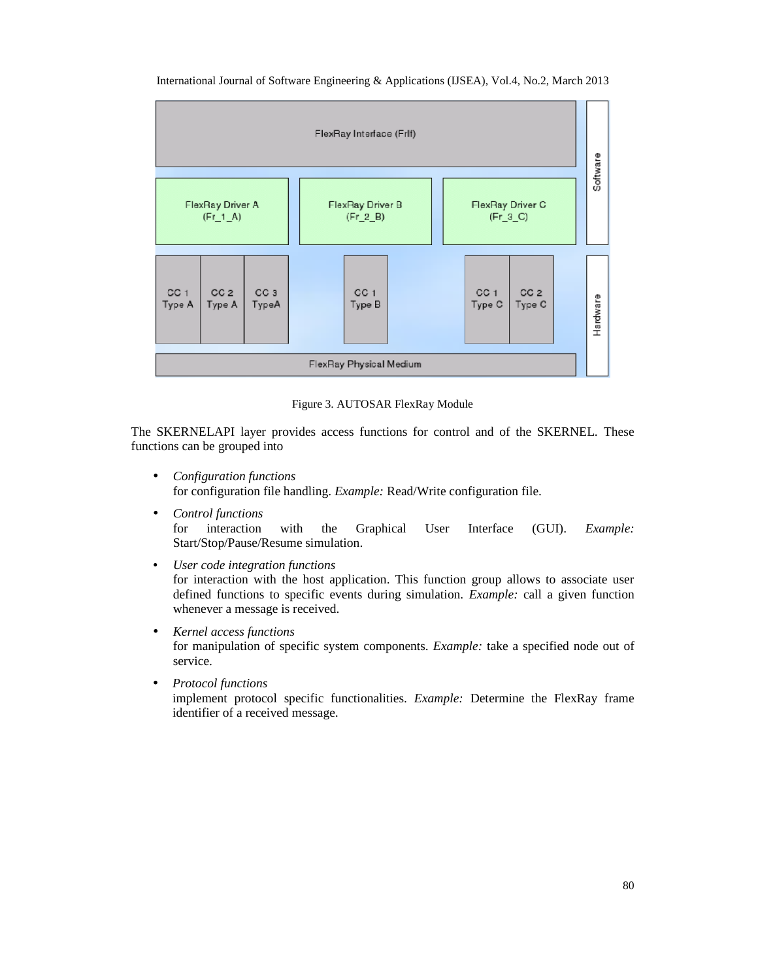

International Journal of Software Engineering & Applications (IJSEA), Vol.4, No.2, March 2013

Figure 3. AUTOSAR FlexRay Module

The SKERNELAPI layer provides access functions for control and of the SKERNEL. These functions can be grouped into

- *Configuration functions* for configuration file handling. *Example:* Read/Write configuration file.
- *Control functions* for interaction with the Graphical User Interface (GUI). *Example:* Start/Stop/Pause/Resume simulation.
- *User code integration functions* for interaction with the host application. This function group allows to associate user defined functions to specific events during simulation. *Example:* call a given function whenever a message is received.
- *Kernel access functions* for manipulation of specific system components. *Example:* take a specified node out of service.
- *Protocol functions* implement protocol specific functionalities. *Example:* Determine the FlexRay frame identifier of a received message.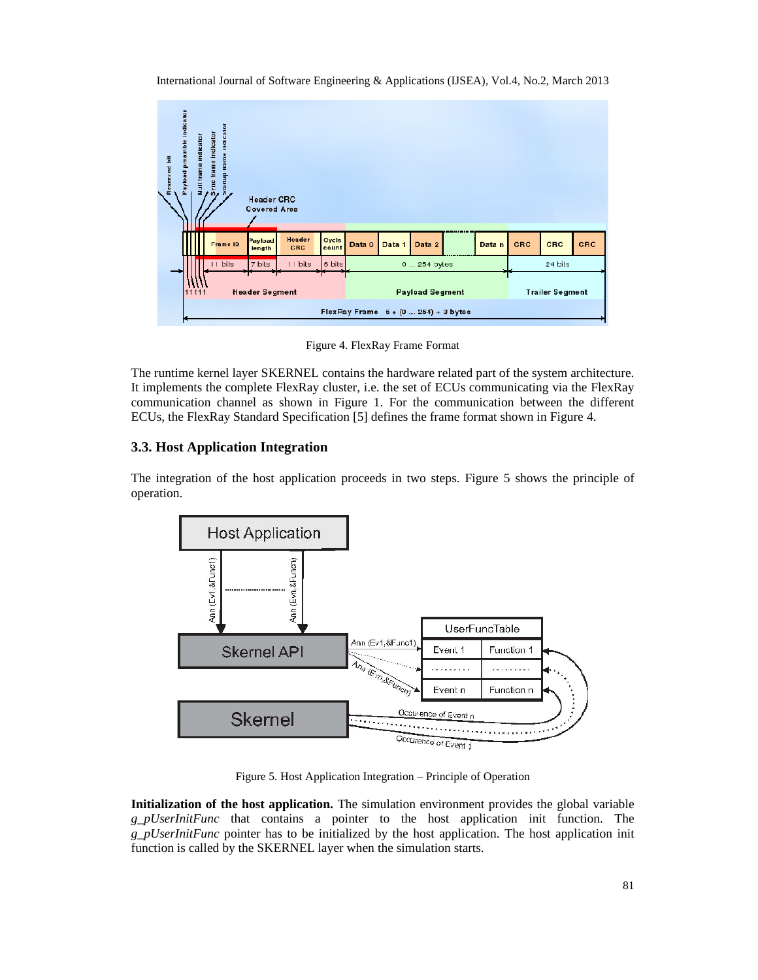

International Journal of Software Engineering & Applications (IJSEA), Vol.4, No.2, March 2013

Figure 4. FlexRay Frame Format

The runtime kernel layer SKERNEL contains the hardware related part of the system architecture. It implements the complete FlexRay cluster, i.e. the set of ECUs communicating via the FlexRay communication channel as shown in Figure 1. For the communication between the different ECUs, the FlexRay Standard Specification [5] defines the frame format shown in Figure 4.

## **3.3. Host Application Integration**

The integration of the host application proceeds in two steps. Figure 5 shows the principle of operation.



Figure 5. Host Application Integration – Principle of Operation

**Initialization of the host application.** The simulation environment provides the global variable *g\_pUserInitFunc* that contains a pointer to the host application init function. The *g\_pUserInitFunc* pointer has to be initialized by the host application. The host application init function is called by the SKERNEL layer when the simulation starts.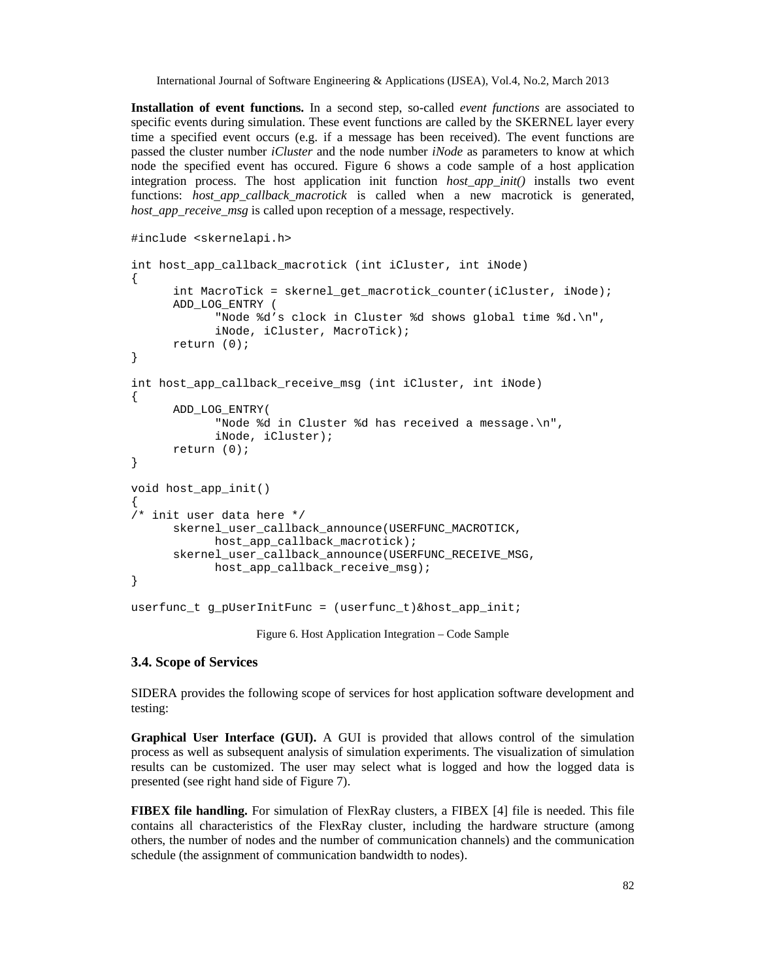**Installation of event functions.** In a second step, so-called *event functions* are associated to specific events during simulation. These event functions are called by the SKERNEL layer every time a specified event occurs (e.g. if a message has been received). The event functions are passed the cluster number *iCluster* and the node number *iNode* as parameters to know at which node the specified event has occured. Figure 6 shows a code sample of a host application integration process. The host application init function *host\_app\_init()* installs two event functions: *host\_app\_callback\_macrotick* is called when a new macrotick is generated, *host\_app\_receive\_msg* is called upon reception of a message, respectively.

```
#include <skernelapi.h>
int host_app_callback_macrotick (int iCluster, int iNode)
{
      int MacroTick = skernel_get_macrotick_counter(iCluster, iNode);
      ADD_LOG_ENTRY (
            "Node %d's clock in Cluster %d shows global time %d.\n",
            iNode, iCluster, MacroTick);
      return (0);
}
int host_app_callback_receive_msg (int iCluster, int iNode)
{
      ADD_LOG_ENTRY(
            "Node %d in Cluster %d has received a message.\n",
            iNode, iCluster);
      return (0);
}
void host_app_init()
{
/* init user data here */
      skernel_user_callback_announce(USERFUNC_MACROTICK,
            host_app_callback_macrotick);
      skernel_user_callback_announce(USERFUNC_RECEIVE_MSG,
            host_app_callback_receive_msg);
}
userfunc t g pUserInitFunc = (userfunc t)&host app init;
```
Figure 6. Host Application Integration – Code Sample

#### **3.4. Scope of Services**

SIDERA provides the following scope of services for host application software development and testing:

**Graphical User Interface (GUI).** A GUI is provided that allows control of the simulation process as well as subsequent analysis of simulation experiments. The visualization of simulation results can be customized. The user may select what is logged and how the logged data is presented (see right hand side of Figure 7).

**FIBEX file handling.** For simulation of FlexRay clusters, a FIBEX [4] file is needed. This file contains all characteristics of the FlexRay cluster, including the hardware structure (among others, the number of nodes and the number of communication channels) and the communication schedule (the assignment of communication bandwidth to nodes).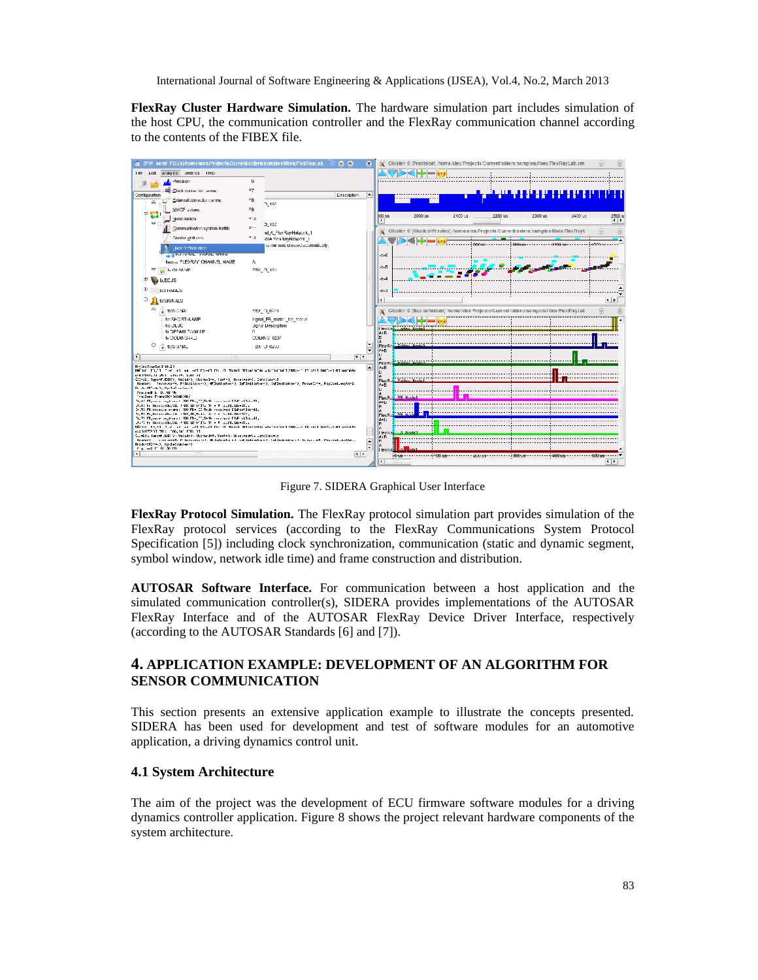**FlexRay Cluster Hardware Simulation.** The hardware simulation part includes simulation of the host CPU, the communication controller and the FlexRay communication channel according to the contents of the FIBEX file.



Figure 7. SIDERA Graphical User Interface

**FlexRay Protocol Simulation.** The FlexRay protocol simulation part provides simulation of the FlexRay protocol services (according to the FlexRay Communications System Protocol Specification [5]) including clock synchronization, communication (static and dynamic segment, symbol window, network idle time) and frame construction and distribution.

**AUTOSAR Software Interface.** For communication between a host application and the simulated communication controller(s), SIDERA provides implementations of the AUTOSAR FlexRay Interface and of the AUTOSAR FlexRay Device Driver Interface, respectively (according to the AUTOSAR Standards [6] and [7]).

## **4. APPLICATION EXAMPLE: DEVELOPMENT OF AN ALGORITHM FOR SENSOR COMMUNICATION**

This section presents an extensive application example to illustrate the concepts presented. SIDERA has been used for development and test of software modules for an automotive application, a driving dynamics control unit.

## **4.1 System Architecture**

The aim of the project was the development of ECU firmware software modules for a driving dynamics controller application. Figure 8 shows the project relevant hardware components of the system architecture.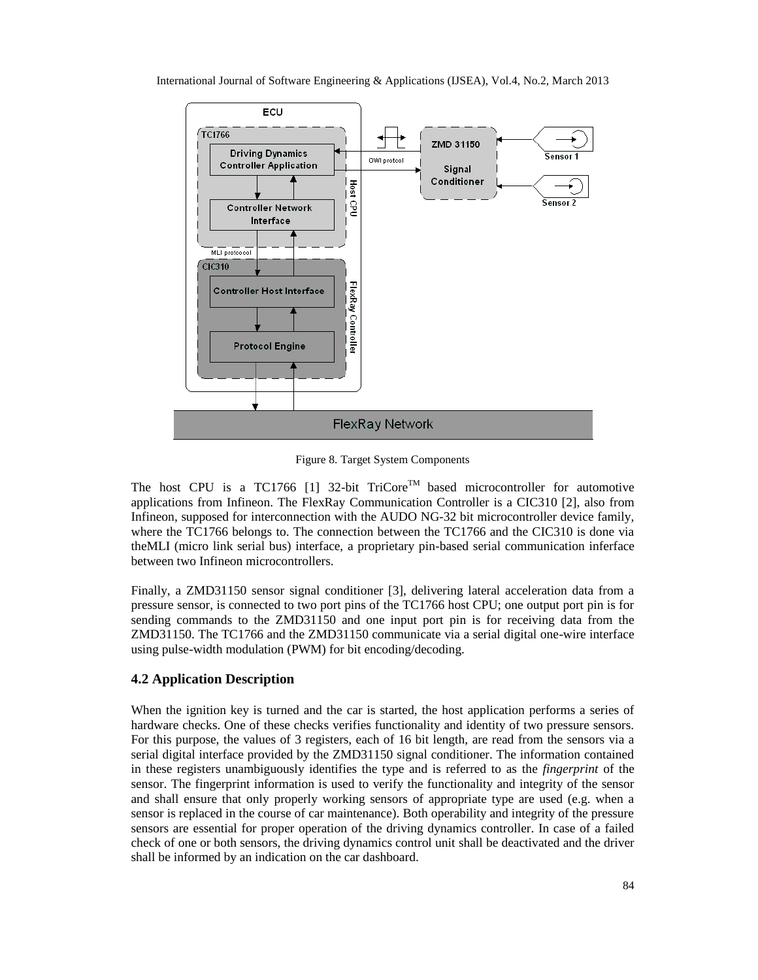

International Journal of Software Engineering & Applications (IJSEA), Vol.4, No.2, March 2013

Figure 8. Target System Components

The host CPU is a TC1766 [1] 32-bit  $TrCore^{TM}$  based microcontroller for automotive applications from Infineon. The FlexRay Communication Controller is a CIC310 [2], also from Infineon, supposed for interconnection with the AUDO NG-32 bit microcontroller device family, where the TC1766 belongs to. The connection between the TC1766 and the CIC310 is done via theMLI (micro link serial bus) interface, a proprietary pin-based serial communication inferface between two Infineon microcontrollers.

Finally, a ZMD31150 sensor signal conditioner [3], delivering lateral acceleration data from a pressure sensor, is connected to two port pins of the TC1766 host CPU; one output port pin is for sending commands to the ZMD31150 and one input port pin is for receiving data from the ZMD31150. The TC1766 and the ZMD31150 communicate via a serial digital one-wire interface using pulse-width modulation (PWM) for bit encoding/decoding.

#### **4.2 Application Description**

When the ignition key is turned and the car is started, the host application performs a series of hardware checks. One of these checks verifies functionality and identity of two pressure sensors. For this purpose, the values of 3 registers, each of 16 bit length, are read from the sensors via a serial digital interface provided by the ZMD31150 signal conditioner. The information contained in these registers unambiguously identifies the type and is referred to as the *fingerprint* of the sensor. The fingerprint information is used to verify the functionality and integrity of the sensor and shall ensure that only properly working sensors of appropriate type are used (e.g. when a sensor is replaced in the course of car maintenance). Both operability and integrity of the pressure sensors are essential for proper operation of the driving dynamics controller. In case of a failed check of one or both sensors, the driving dynamics control unit shall be deactivated and the driver shall be informed by an indication on the car dashboard.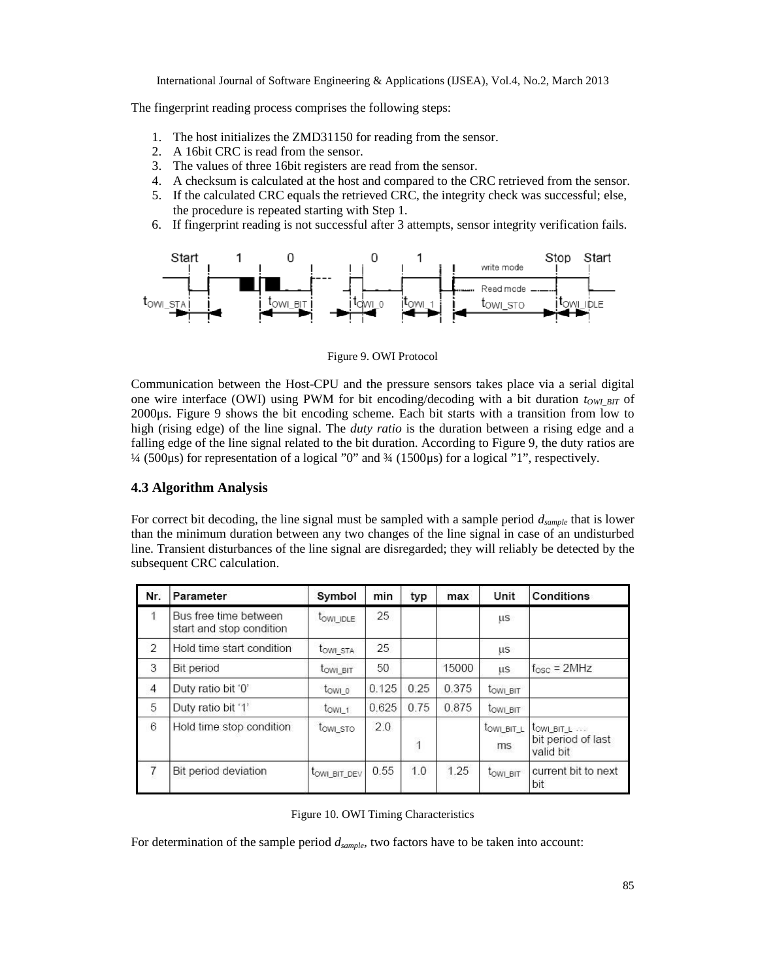The fingerprint reading process comprises the following steps:

- 1. The host initializes the ZMD31150 for reading from the sensor.
- 2. A 16bit CRC is read from the sensor.
- 3. The values of three 16bit registers are read from the sensor.
- 4. A checksum is calculated at the host and compared to the CRC retrieved from the sensor.
- 5. If the calculated CRC equals the retrieved CRC, the integrity check was successful; else, the procedure is repeated starting with Step 1.
- 6. If fingerprint reading is not successful after 3 attempts, sensor integrity verification fails.



Figure 9. OWI Protocol

Communication between the Host-CPU and the pressure sensors takes place via a serial digital one wire interface (OWI) using PWM for bit encoding/decoding with a bit duration  $t_{OWI\,BIT}$  of 2000μs. Figure 9 shows the bit encoding scheme. Each bit starts with a transition from low to high (rising edge) of the line signal. The *duty ratio* is the duration between a rising edge and a falling edge of the line signal related to the bit duration. According to Figure 9, the duty ratios are ¼ (500μs) for representation of a logical "0" and ¾ (1500μs) for a logical "1", respectively.

#### **4.3 Algorithm Analysis**

For correct bit decoding, the line signal must be sampled with a sample period  $d_{sample}$  that is lower than the minimum duration between any two changes of the line signal in case of an undisturbed line. Transient disturbances of the line signal are disregarded; they will reliably be detected by the subsequent CRC calculation.

| Nr.           | Parameter                                         | Symbol                | min   | typ            | max   | Unit                 | Conditions                                    |
|---------------|---------------------------------------------------|-----------------------|-------|----------------|-------|----------------------|-----------------------------------------------|
|               | Bus free time between<br>start and stop condition | TOWI IDLE             | 25    |                |       | μS                   |                                               |
| $\mathcal{D}$ | Hold time start condition                         | towi sta              | 25    |                |       | us                   |                                               |
| 3             | Bit period                                        | $t_{\text{OWI\_BIT}}$ | 50    |                | 15000 | us                   | $f_{\text{OSC}} = 2MHz$                       |
| 4             | Duty ratio bit '0'                                | town o                | 0.125 | 0.25           | 0.375 | t <sub>owi</sub> BIT |                                               |
| 5             | Duty ratio bit '1'                                | $tOW1$ <sub>1</sub>   | 0.625 | 0.75           | 0.875 | <b>LOWI BIT</b>      |                                               |
| 6             | Hold time stop condition                          | towi_sto              | 2.0   | $\overline{1}$ |       | TOWI BIT L<br>ms     | TOWI_BIT_L<br>bit period of last<br>valid bit |
|               | Bit period deviation                              | towl_BIT_DEV          | 0.55  | 1.0            | 1.25  | t <sub>owl</sub> BIT | current bit to next<br>bit                    |

Figure 10. OWI Timing Characteristics

For determination of the sample period *dsample*, two factors have to be taken into account: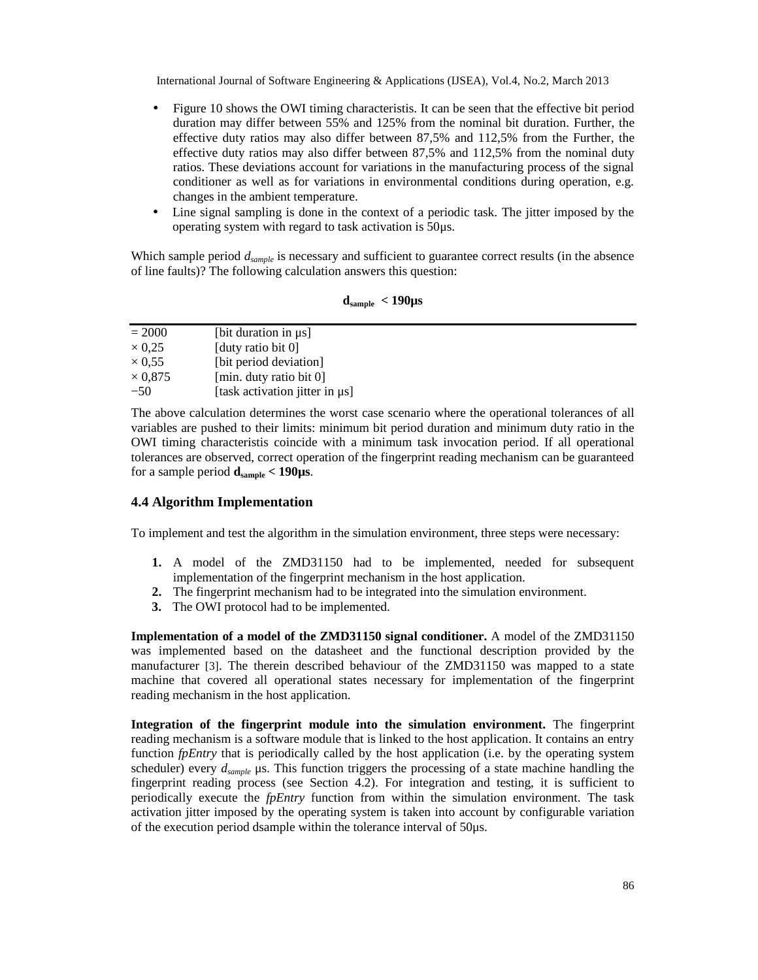- Figure 10 shows the OWI timing characteristis. It can be seen that the effective bit period duration may differ between 55% and 125% from the nominal bit duration. Further, the effective duty ratios may also differ between 87,5% and 112,5% from the Further, the effective duty ratios may also differ between 87,5% and 112,5% from the nominal duty ratios. These deviations account for variations in the manufacturing process of the signal conditioner as well as for variations in environmental conditions during operation, e.g. changes in the ambient temperature.
- Line signal sampling is done in the context of a periodic task. The jitter imposed by the operating system with regard to task activation is 50μs.

Which sample period *dsample* is necessary and sufficient to guarantee correct results (in the absence of line faults)? The following calculation answers this question:

| $\mathbf{d}_{sample}$ | $< 190 \mu s$ |
|-----------------------|---------------|
|-----------------------|---------------|

| $= 2000$       | [bit duration in $\mu s$ ]     |
|----------------|--------------------------------|
| $\times 0.25$  | [duty ratio bit 0]             |
| $\times 0.55$  | [bit period deviation]         |
| $\times$ 0,875 | $[min.$ duty ratio bit $0]$    |
| $-50$          | [task activation jitter in µs] |

The above calculation determines the worst case scenario where the operational tolerances of all variables are pushed to their limits: minimum bit period duration and minimum duty ratio in the OWI timing characteristis coincide with a minimum task invocation period. If all operational tolerances are observed, correct operation of the fingerprint reading mechanism can be guaranteed for a sample period **dsample < 190μs**.

#### **4.4 Algorithm Implementation**

To implement and test the algorithm in the simulation environment, three steps were necessary:

- **1.** A model of the ZMD31150 had to be implemented, needed for subsequent implementation of the fingerprint mechanism in the host application.
- **2.** The fingerprint mechanism had to be integrated into the simulation environment.
- **3.** The OWI protocol had to be implemented.

**Implementation of a model of the ZMD31150 signal conditioner.** A model of the ZMD31150 was implemented based on the datasheet and the functional description provided by the manufacturer [3]. The therein described behaviour of the ZMD31150 was mapped to a state machine that covered all operational states necessary for implementation of the fingerprint reading mechanism in the host application.

**Integration of the fingerprint module into the simulation environment.** The fingerprint reading mechanism is a software module that is linked to the host application. It contains an entry function *fpEntry* that is periodically called by the host application (i.e. by the operating system scheduler) every *dsample* μs. This function triggers the processing of a state machine handling the fingerprint reading process (see Section 4.2). For integration and testing, it is sufficient to periodically execute the *fpEntry* function from within the simulation environment. The task activation jitter imposed by the operating system is taken into account by configurable variation of the execution period dsample within the tolerance interval of 50μs.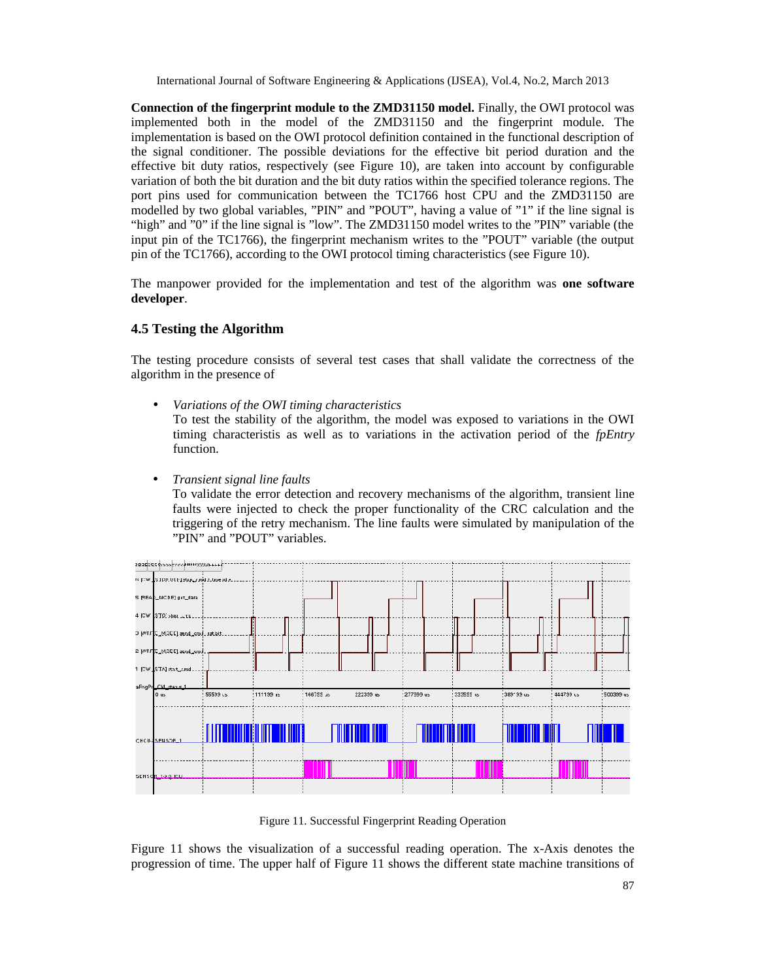**Connection of the fingerprint module to the ZMD31150 model.** Finally, the OWI protocol was implemented both in the model of the ZMD31150 and the fingerprint module. The implementation is based on the OWI protocol definition contained in the functional description of the signal conditioner. The possible deviations for the effective bit period duration and the effective bit duty ratios, respectively (see Figure 10), are taken into account by configurable variation of both the bit duration and the bit duty ratios within the specified tolerance regions. The port pins used for communication between the TC1766 host CPU and the ZMD31150 are modelled by two global variables, "PIN" and "POUT", having a value of "1" if the line signal is "high" and "0" if the line signal is "low". The ZMD31150 model writes to the "PIN" variable (the input pin of the TC1766), the fingerprint mechanism writes to the "POUT" variable (the output pin of the TC1766), according to the OWI protocol timing characteristics (see Figure 10).

The manpower provided for the implementation and test of the algorithm was **one software developer**.

#### **4.5 Testing the Algorithm**

The testing procedure consists of several test cases that shall validate the correctness of the algorithm in the presence of

- *Variations of the OWI timing characteristics* To test the stability of the algorithm, the model was exposed to variations in the OWI timing characteristis as well as to variations in the activation period of the *fpEntry* function.
- *Transient signal line faults*

To validate the error detection and recovery mechanisms of the algorithm, transient line faults were injected to check the proper functionality of the CRC calculation and the triggering of the retry mechanism. The line faults were simulated by manipulation of the "PIN" and "POUT" variables.



Figure 11. Successful Fingerprint Reading Operation

Figure 11 shows the visualization of a successful reading operation. The x-Axis denotes the progression of time. The upper half of Figure 11 shows the different state machine transitions of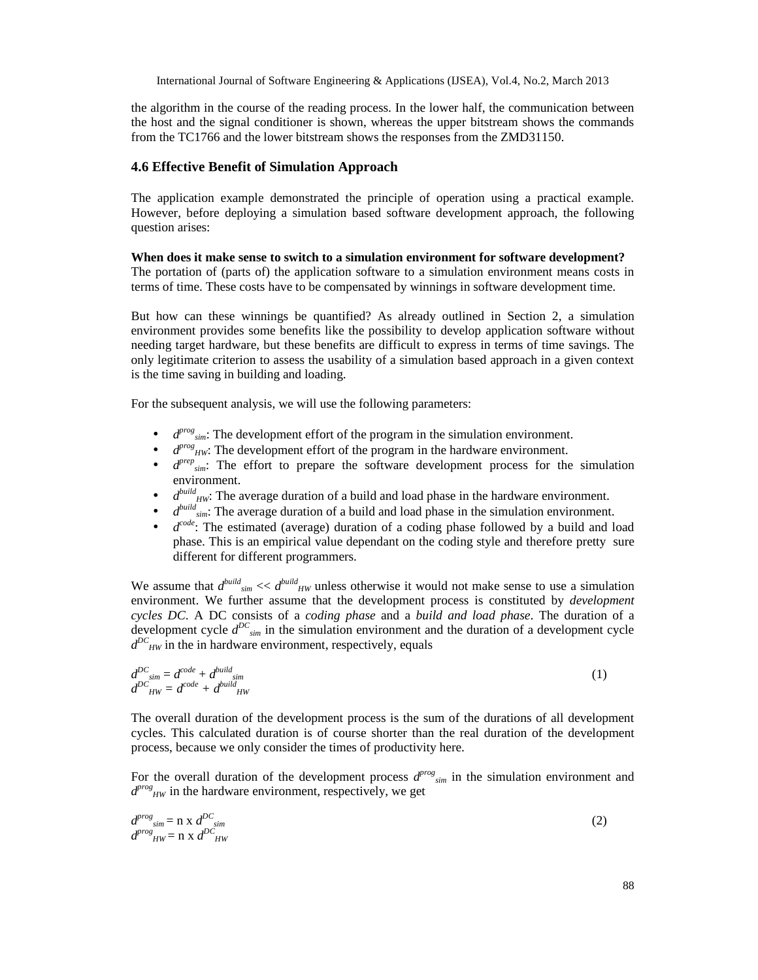the algorithm in the course of the reading process. In the lower half, the communication between the host and the signal conditioner is shown, whereas the upper bitstream shows the commands from the TC1766 and the lower bitstream shows the responses from the ZMD31150.

#### **4.6 Effective Benefit of Simulation Approach**

The application example demonstrated the principle of operation using a practical example. However, before deploying a simulation based software development approach, the following question arises:

**When does it make sense to switch to a simulation environment for software development?** The portation of (parts of) the application software to a simulation environment means costs in terms of time. These costs have to be compensated by winnings in software development time.

But how can these winnings be quantified? As already outlined in Section 2, a simulation environment provides some benefits like the possibility to develop application software without needing target hardware, but these benefits are difficult to express in terms of time savings. The only legitimate criterion to assess the usability of a simulation based approach in a given context is the time saving in building and loading.

For the subsequent analysis, we will use the following parameters:

- $\bullet$   $d^{prog}$ <sub>sim</sub>: The development effort of the program in the simulation environment.
- $\bullet$   $d^{prog}_{HW}$ : The development effort of the program in the hardware environment.
- $\bullet$   $d^{prep}_{sim}$ : The effort to prepare the software development process for the simulation environment.
- $\bullet$   $d^{build}_{HW}$ : The average duration of a build and load phase in the hardware environment.
- $\bullet$   $d^{build}$ <sub>sim</sub>: The average duration of a build and load phase in the simulation environment.
- $\bullet$   $d^{code}$ : The estimated (average) duration of a coding phase followed by a build and load phase. This is an empirical value dependant on the coding style and therefore pretty sure different for different programmers.

We assume that  $d^{build}$ <sub>sim</sub> <<  $d^{build}$ <sub>HW</sub> unless otherwise it would not make sense to use a simulation environment. We further assume that the development process is constituted by *development cycles DC*. A DC consists of a *coding phase* and a *build and load phase*. The duration of a development cycle  $d^{DC}_{sim}$  in the simulation environment and the duration of a development cycle  $d^{DC}_{HW}$  in the in hardware environment, respectively, equals

$$
d^{DC}_{sim} = d^{code} + d^{build}_{sim}
$$
  
\n
$$
d^{DC}_{HW} = d^{code} + d^{build}_{HW}
$$
\n(1)

The overall duration of the development process is the sum of the durations of all development cycles. This calculated duration is of course shorter than the real duration of the development process, because we only consider the times of productivity here.

For the overall duration of the development process  $d^{prog}$ <sub>sim</sub> in the simulation environment and  $d^{prog}_{HW}$  in the hardware environment, respectively, we get

$$
d^{prog}_{sim} = n \times d^{DC}_{sim}
$$
  
\n
$$
d^{prog}_{HW} = n \times d^{DC}_{HW}
$$
\n(2)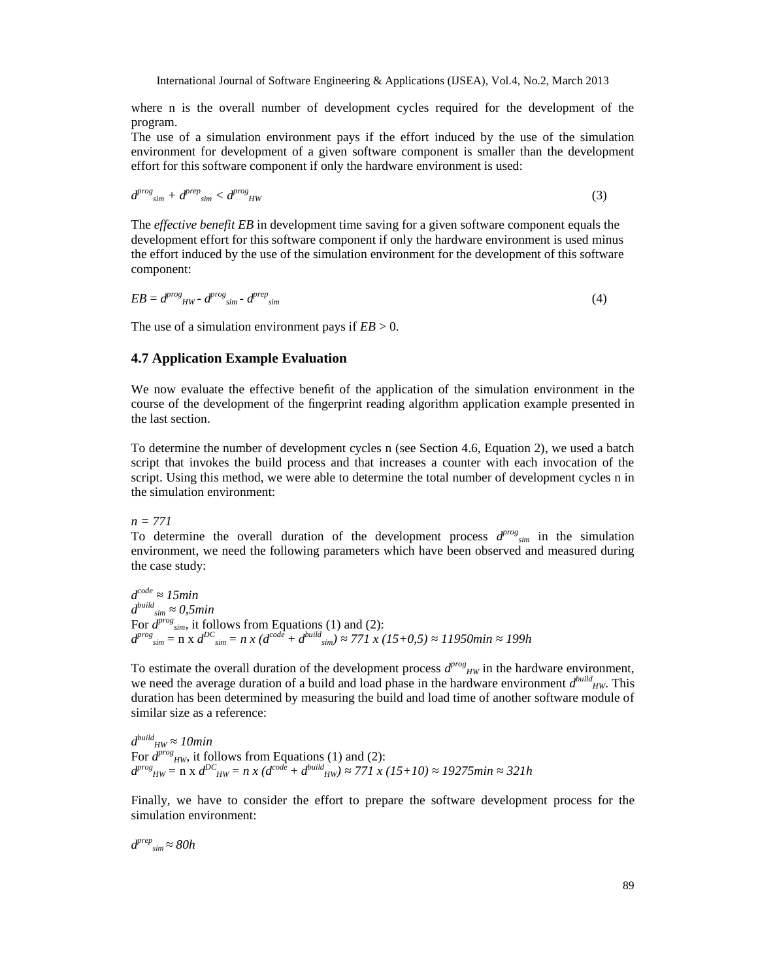where n is the overall number of development cycles required for the development of the program.

The use of a simulation environment pays if the effort induced by the use of the simulation environment for development of a given software component is smaller than the development effort for this software component if only the hardware environment is used:

$$
d^{prog}_{sim} + d^{prep}_{sim} < d^{prog}_{HW} \tag{3}
$$

The *effective benefit EB* in development time saving for a given software component equals the development effort for this software component if only the hardware environment is used minus the effort induced by the use of the simulation environment for the development of this software component:

$$
EB = d^{prog}{}_{HW} - d^{prog}{}_{sim} - d^{prep}{}_{sim}
$$
\n
$$
\tag{4}
$$

The use of a simulation environment pays if  $EB > 0$ .

#### **4.7 Application Example Evaluation**

We now evaluate the effective benefit of the application of the simulation environment in the course of the development of the fingerprint reading algorithm application example presented in the last section.

To determine the number of development cycles n (see Section 4.6, Equation 2), we used a batch script that invokes the build process and that increases a counter with each invocation of the script. Using this method, we were able to determine the total number of development cycles n in the simulation environment:

*n = 771*

To determine the overall duration of the development process  $d^{prog}_{sim}$  in the simulation environment, we need the following parameters which have been observed and measured during the case study:

$$
d^{code} \t15min
$$
\n
$$
d^{build}_{sim} = 0, 5min
$$
\nFor  $d^{prod}_{sim}$ , it follows from Equations (1) and (2):\n
$$
d^{prog}_{sim} = n \times d^{DC}_{sim} = n \times (d^{code} + d^{build}_{sim}) \quad 771 \times (15+0,5) \quad 11950min \quad 199h
$$

To estimate the overall duration of the development process  $d^{prog}_{HW}$  in the hardware environment, we need the average duration of a build and load phase in the hardware environment  $d^{build}_{HW}$ . This duration has been determined by measuring the build and load time of another software module of similar size as a reference:

*d build HW ≈ 10min* For  $d^{prog}_{HW}$ , it follows from Equations (1) and (2):  $d^{prog}_{HW} = n \times d^{DC}_{HW} = n \times (d^{code} + d^{build}_{HW})$  *771 x* (15+10) 19275min 321h

Finally, we have to consider the effort to prepare the software development process for the simulation environment:

$$
d^{prep}_{sim} \quad 80h
$$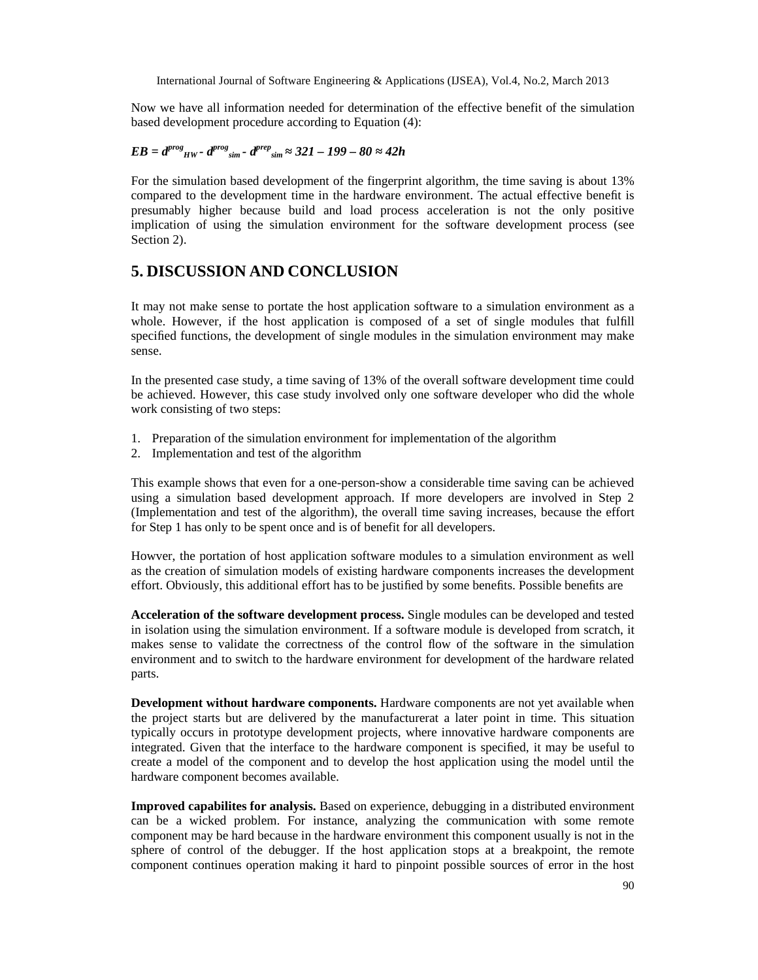Now we have all information needed for determination of the effective benefit of the simulation based development procedure according to Equation (4):

 $EB = d^{prog}$  *HW*  $\cdot$   $d^{prog}$  *sim*  $\cdot$   $d^{prep}$  *sim*  $321 - 199 - 80$   $\cdot$   $42h$ 

For the simulation based development of the fingerprint algorithm, the time saving is about 13% compared to the development time in the hardware environment. The actual effective benefit is presumably higher because build and load process acceleration is not the only positive implication of using the simulation environment for the software development process (see Section 2).

## **5. DISCUSSION AND CONCLUSION**

It may not make sense to portate the host application software to a simulation environment as a whole. However, if the host application is composed of a set of single modules that fulfill specified functions, the development of single modules in the simulation environment may make sense.

In the presented case study, a time saving of 13% of the overall software development time could be achieved. However, this case study involved only one software developer who did the whole work consisting of two steps:

- 1. Preparation of the simulation environment for implementation of the algorithm
- 2. Implementation and test of the algorithm

This example shows that even for a one-person-show a considerable time saving can be achieved using a simulation based development approach. If more developers are involved in Step 2 (Implementation and test of the algorithm), the overall time saving increases, because the effort for Step 1 has only to be spent once and is of benefit for all developers.

Howver, the portation of host application software modules to a simulation environment as well as the creation of simulation models of existing hardware components increases the development effort. Obviously, this additional effort has to be justified by some benefits. Possible benefits are

**Acceleration of the software development process.** Single modules can be developed and tested in isolation using the simulation environment. If a software module is developed from scratch, it makes sense to validate the correctness of the control flow of the software in the simulation environment and to switch to the hardware environment for development of the hardware related parts.

**Development without hardware components.** Hardware components are not yet available when the project starts but are delivered by the manufacturerat a later point in time. This situation typically occurs in prototype development projects, where innovative hardware components are integrated. Given that the interface to the hardware component is specified, it may be useful to create a model of the component and to develop the host application using the model until the hardware component becomes available.

**Improved capabilites for analysis.** Based on experience, debugging in a distributed environment can be a wicked problem. For instance, analyzing the communication with some remote component may be hard because in the hardware environment this component usually is not in the sphere of control of the debugger. If the host application stops at a breakpoint, the remote component continues operation making it hard to pinpoint possible sources of error in the host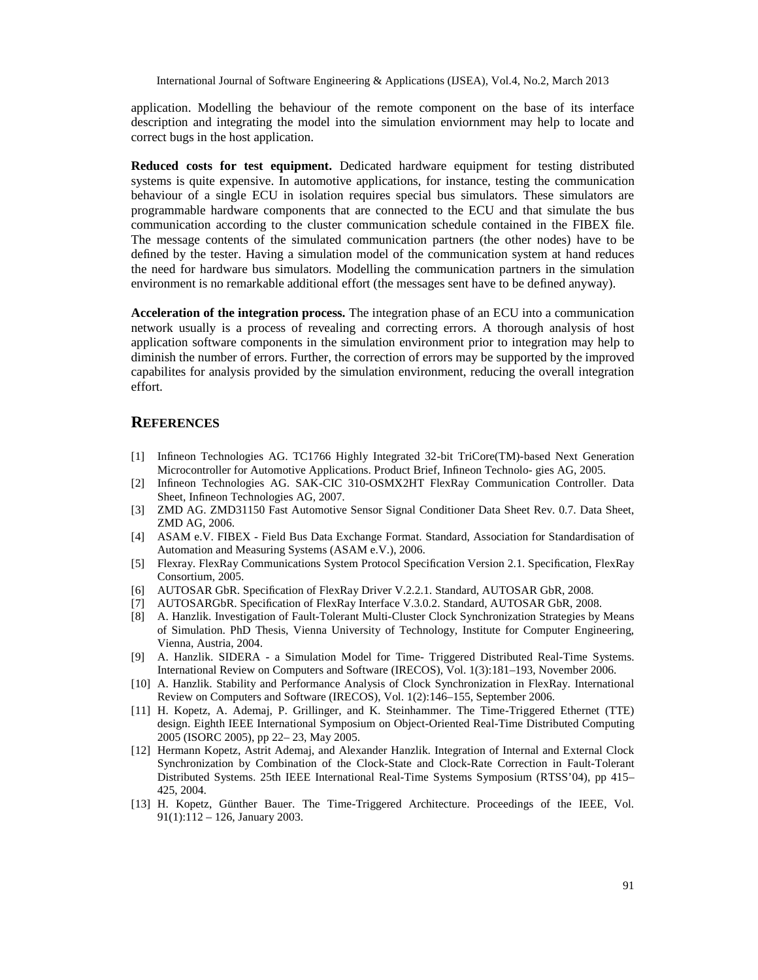application. Modelling the behaviour of the remote component on the base of its interface description and integrating the model into the simulation enviornment may help to locate and correct bugs in the host application.

**Reduced costs for test equipment.** Dedicated hardware equipment for testing distributed systems is quite expensive. In automotive applications, for instance, testing the communication behaviour of a single ECU in isolation requires special bus simulators. These simulators are programmable hardware components that are connected to the ECU and that simulate the bus communication according to the cluster communication schedule contained in the FIBEX file. The message contents of the simulated communication partners (the other nodes) have to be defined by the tester. Having a simulation model of the communication system at hand reduces the need for hardware bus simulators. Modelling the communication partners in the simulation environment is no remarkable additional effort (the messages sent have to be defined anyway).

**Acceleration of the integration process.** The integration phase of an ECU into a communication network usually is a process of revealing and correcting errors. A thorough analysis of host application software components in the simulation environment prior to integration may help to diminish the number of errors. Further, the correction of errors may be supported by the improved capabilites for analysis provided by the simulation environment, reducing the overall integration effort.

## **REFERENCES**

- [1] Infineon Technologies AG. TC1766 Highly Integrated 32-bit TriCore(TM)-based Next Generation Microcontroller for Automotive Applications. Product Brief, Infineon Technolo- gies AG, 2005.
- [2] Infineon Technologies AG. SAK-CIC 310-OSMX2HT FlexRay Communication Controller. Data Sheet, Infineon Technologies AG, 2007.
- [3] ZMD AG. ZMD31150 Fast Automotive Sensor Signal Conditioner Data Sheet Rev. 0.7. Data Sheet, ZMD AG, 2006.
- [4] ASAM e.V. FIBEX Field Bus Data Exchange Format. Standard, Association for Standardisation of Automation and Measuring Systems (ASAM e.V.), 2006.
- [5] Flexray. FlexRay Communications System Protocol Specification Version 2.1. Specification, FlexRay Consortium, 2005.
- [6] AUTOSAR GbR. Specification of FlexRay Driver V.2.2.1. Standard, AUTOSAR GbR, 2008.
- [7] AUTOSARGbR. Specification of FlexRay Interface V.3.0.2. Standard, AUTOSAR GbR, 2008.
- [8] A. Hanzlik. Investigation of Fault-Tolerant Multi-Cluster Clock Synchronization Strategies by Means of Simulation. PhD Thesis, Vienna University of Technology, Institute for Computer Engineering, Vienna, Austria, 2004.
- [9] A. Hanzlik. SIDERA a Simulation Model for Time- Triggered Distributed Real-Time Systems. International Review on Computers and Software (IRECOS), Vol. 1(3):181–193, November 2006.
- [10] A. Hanzlik. Stability and Performance Analysis of Clock Synchronization in FlexRay. International Review on Computers and Software (IRECOS), Vol. 1(2):146–155, September 2006.
- [11] H. Kopetz, A. Ademaj, P. Grillinger, and K. Steinhammer. The Time-Triggered Ethernet (TTE) design. Eighth IEEE International Symposium on Object-Oriented Real-Time Distributed Computing 2005 (ISORC 2005), pp 22– 23, May 2005.
- [12] Hermann Kopetz, Astrit Ademaj, and Alexander Hanzlik. Integration of Internal and External Clock Synchronization by Combination of the Clock-State and Clock-Rate Correction in Fault-Tolerant Distributed Systems. 25th IEEE International Real-Time Systems Symposium (RTSS'04), pp 415– 425, 2004.
- [13] H. Kopetz, Günther Bauer. The Time-Triggered Architecture. Proceedings of the IEEE, Vol. 91(1):112 – 126, January 2003.